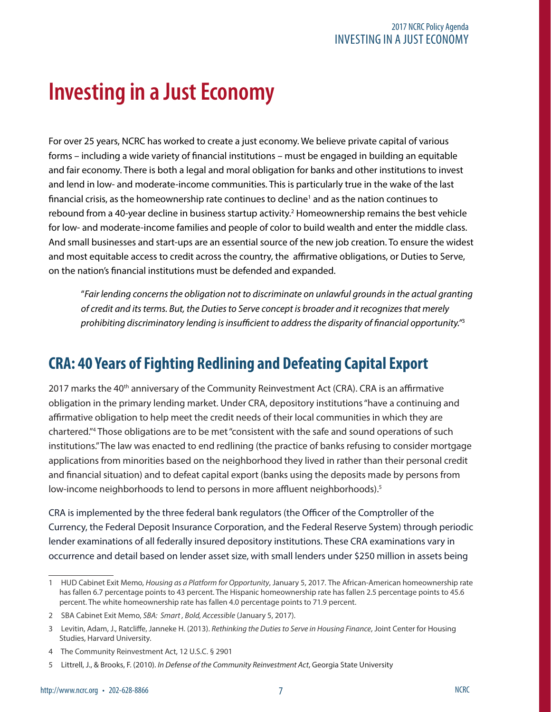# **Investing in a Just Economy**

For over 25 years, NCRC has worked to create a just economy. We believe private capital of various forms – including a wide variety of financial institutions – must be engaged in building an equitable and fair economy. There is both a legal and moral obligation for banks and other institutions to invest and lend in low- and moderate-income communities. This is particularly true in the wake of the last financial crisis, as the homeownership rate continues to decline<sup>1</sup> and as the nation continues to rebound from a 40-year decline in business startup activity.<sup>2</sup> Homeownership remains the best vehicle for low- and moderate-income families and people of color to build wealth and enter the middle class. And small businesses and start-ups are an essential source of the new job creation. To ensure the widest and most equitable access to credit across the country, the affirmative obligations, or Duties to Serve, on the nation's financial institutions must be defended and expanded.

"*Fair lending concerns the obligation not to discriminate on unlawful grounds in the actual granting of credit and its terms. But, the Duties to Serve concept is broader and it recognizes that merely prohibiting discriminatory lending is insufficient to address the disparity of financial opportunity."*<sup>3</sup>

## **CRA: 40 Years of Fighting Redlining and Defeating Capital Export**

2017 marks the 40<sup>th</sup> anniversary of the Community Reinvestment Act (CRA). CRA is an affirmative obligation in the primary lending market. Under CRA, depository institutions "have a continuing and affirmative obligation to help meet the credit needs of their local communities in which they are chartered."4 Those obligations are to be met "consistent with the safe and sound operations of such institutions." The law was enacted to end redlining (the practice of banks refusing to consider mortgage applications from minorities based on the neighborhood they lived in rather than their personal credit and financial situation) and to defeat capital export (banks using the deposits made by persons from low-income neighborhoods to lend to persons in more affluent neighborhoods).<sup>5</sup>

CRA is implemented by the three federal bank regulators (the Officer of the Comptroller of the Currency, the Federal Deposit Insurance Corporation, and the Federal Reserve System) through periodic lender examinations of all federally insured depository institutions. These CRA examinations vary in occurrence and detail based on lender asset size, with small lenders under \$250 million in assets being

<sup>1</sup> HUD Cabinet Exit Memo, *Housing as a Platform for Opportunity*, January 5, 2017*.* The African-American homeownership rate has fallen 6.7 percentage points to 43 percent. The Hispanic homeownership rate has fallen 2.5 percentage points to 45.6 percent. The white homeownership rate has fallen 4.0 percentage points to 71.9 percent.

<sup>2</sup> SBA Cabinet Exit Memo, *SBA: Smart , Bold, Accessible* (January 5, 2017).

<sup>3</sup> Levitin, Adam, J., Ratcliffe, Janneke H. (2013). *Rethinking the Duties to Serve in Housing Finance*, Joint Center for Housing Studies, Harvard University.

<sup>4</sup> The Community Reinvestment Act, 12 U.S.C. § 2901

<sup>5</sup> Littrell, J., & Brooks, F. (2010). *In Defense of the Community Reinvestment Act*, Georgia State University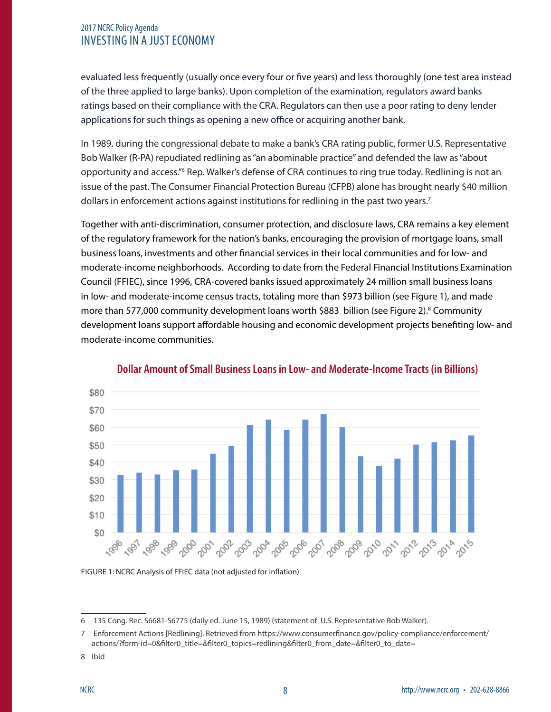### 2017 NCRC Policy Agenda INVESTING IN A JUST ECONOMY

evaluated less frequently (usually once every four or five years) and less thoroughly (one test area instead of the three applied to large banks). Upon completion of the examination, regulators award banks ratings based on their compliance with the CRA. Regulators can then use a poor rating to deny lender applications for such things as opening a new office or acquiring another bank.

In 1989, during the congressional debate to make a bank's CRA rating public, former U.S. Representative Bob Walker (R-PA) repudiated redlining as "an abominable practice" and defended the law as "about opportunity and access."<sup>6</sup> Rep. Walker's defense of CRA continues to ring true today. Redlining is not an issue of the past. The Consumer Financial Protection Bureau (CFPB) alone has brought nearly \$40 million dollars in enforcement actions against institutions for redlining in the past two years.<sup>7</sup>

Together with anti-discrimination, consumer protection, and disclosure laws, CRA remains a key element of the regulatory framework for the nation's banks, encouraging the provision of mortgage loans, small business loans, investments and other financial services in their local communities and for low- and moderate-income neighborhoods. According to date from the Federal Financial Institutions Examination Council (FFIEC), since 1996, CRA-covered banks issued approximately 24 million small business loans in low- and moderate-income census tracts, totaling more than \$973 billion (see Figure 1), and made more than 577,000 community development loans worth \$883 billion (see Figure 2).<sup>8</sup> Community development loans support affordable housing and economic development projects benefiting low- and moderate-income communities.



#### **Dollar Amount of Small Business Loans in Low- and Moderate-Income Tracts (in Billions)**

FIGURE 1: NCRC Analysis of FFIEC data (not adjusted for inflation)

<sup>6 135</sup> Cong. Rec. S6681-S6775 (daily ed. June 15, 1989) (statement of U.S. Representative Bob Walker).

<sup>7</sup> Enforcement Actions [Redlining]. Retrieved from https://www.consumerfinance.gov/policy-compliance/enforcement/ actions/?form-id=0&filter0\_title=&filter0\_topics=redlining&filter0\_from\_date=&filter0\_to\_date=

<sup>8</sup> Ibid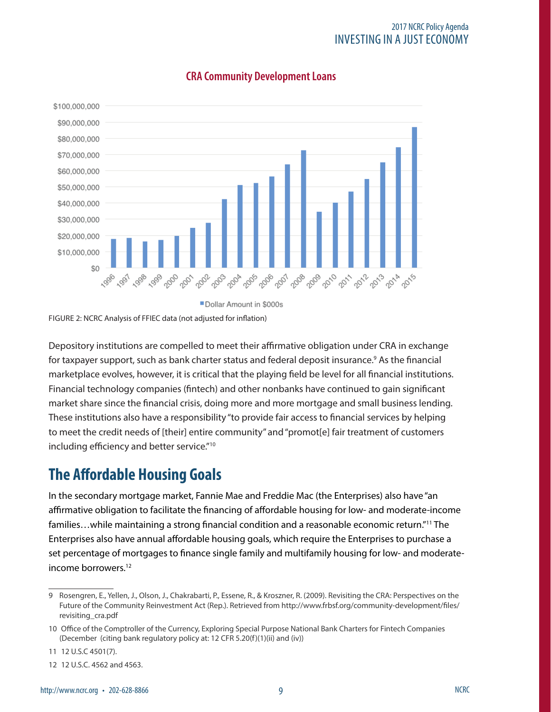#### 2017 NCRC Policy Agenda INVESTING IN A JUST ECONOMY



### **CRA Community Development Loans**

Dollar Amount in \$000s

FIGURE 2: NCRC Analysis of FFIEC data (not adjusted for inflation)

Depository institutions are compelled to meet their affirmative obligation under CRA in exchange for taxpayer support, such as bank charter status and federal deposit insurance.<sup>9</sup> As the financial marketplace evolves, however, it is critical that the playing field be level for all financial institutions. Financial technology companies (fintech) and other nonbanks have continued to gain significant market share since the financial crisis, doing more and more mortgage and small business lending. These institutions also have a responsibility "to provide fair access to financial services by helping to meet the credit needs of [their] entire community" and "promot[e] fair treatment of customers including efficiency and better service."10

### **The Affordable Housing Goals**

In the secondary mortgage market, Fannie Mae and Freddie Mac (the Enterprises) also have "an affirmative obligation to facilitate the financing of affordable housing for low- and moderate-income families…while maintaining a strong financial condition and a reasonable economic return."11 The Enterprises also have annual affordable housing goals, which require the Enterprises to purchase a set percentage of mortgages to finance single family and multifamily housing for low- and moderateincome borrowers.12

<sup>9</sup> Rosengren, E., Yellen, J., Olson, J., Chakrabarti, P., Essene, R., & Kroszner, R. (2009). Revisiting the CRA: Perspectives on the Future of the Community Reinvestment Act (Rep.). Retrieved from http://www.frbsf.org/community-development/files/ revisiting\_cra.pdf

<sup>10</sup> Office of the Comptroller of the Currency, Exploring Special Purpose National Bank Charters for Fintech Companies (December (citing bank regulatory policy at: 12 CFR 5.20(f)(1)(ii) and (iv))

<sup>11 12</sup> U.S.C 4501(7).

<sup>12 12</sup> U.S.C. 4562 and 4563.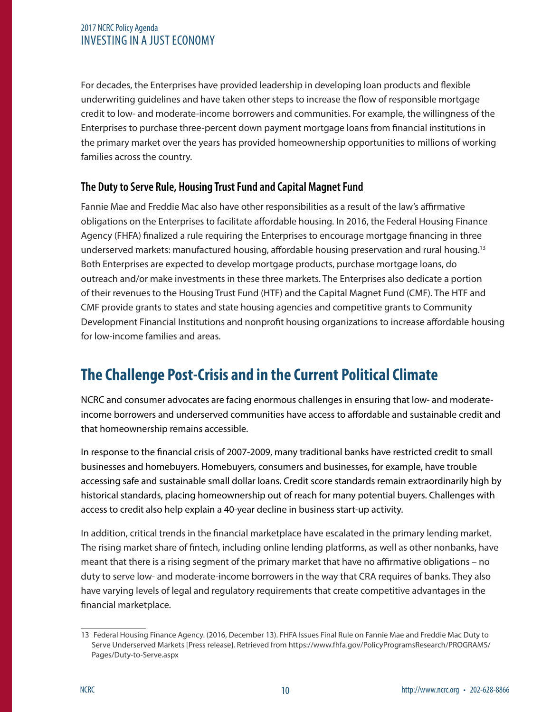### 2017 NCRC Policy Agenda INVESTING IN A JUST ECONOMY

For decades, the Enterprises have provided leadership in developing loan products and flexible underwriting guidelines and have taken other steps to increase the flow of responsible mortgage credit to low- and moderate-income borrowers and communities. For example, the willingness of the Enterprises to purchase three-percent down payment mortgage loans from financial institutions in the primary market over the years has provided homeownership opportunities to millions of working families across the country.

### **The Duty to Serve Rule, Housing Trust Fund and Capital Magnet Fund**

Fannie Mae and Freddie Mac also have other responsibilities as a result of the law's affirmative obligations on the Enterprises to facilitate affordable housing. In 2016, the Federal Housing Finance Agency (FHFA) finalized a rule requiring the Enterprises to encourage mortgage financing in three underserved markets: manufactured housing, affordable housing preservation and rural housing.13 Both Enterprises are expected to develop mortgage products, purchase mortgage loans, do outreach and/or make investments in these three markets. The Enterprises also dedicate a portion of their revenues to the Housing Trust Fund (HTF) and the Capital Magnet Fund (CMF). The HTF and CMF provide grants to states and state housing agencies and competitive grants to Community Development Financial Institutions and nonprofit housing organizations to increase affordable housing for low-income families and areas.

### **The Challenge Post-Crisis and in the Current Political Climate**

NCRC and consumer advocates are facing enormous challenges in ensuring that low- and moderateincome borrowers and underserved communities have access to affordable and sustainable credit and that homeownership remains accessible.

In response to the financial crisis of 2007-2009, many traditional banks have restricted credit to small businesses and homebuyers. Homebuyers, consumers and businesses, for example, have trouble accessing safe and sustainable small dollar loans. Credit score standards remain extraordinarily high by historical standards, placing homeownership out of reach for many potential buyers. Challenges with access to credit also help explain a 40-year decline in business start-up activity.

In addition, critical trends in the financial marketplace have escalated in the primary lending market. The rising market share of fintech, including online lending platforms, as well as other nonbanks, have meant that there is a rising segment of the primary market that have no affirmative obligations – no duty to serve low- and moderate-income borrowers in the way that CRA requires of banks. They also have varying levels of legal and regulatory requirements that create competitive advantages in the financial marketplace.

<sup>13</sup> Federal Housing Finance Agency. (2016, December 13). FHFA Issues Final Rule on Fannie Mae and Freddie Mac Duty to Serve Underserved Markets [Press release]. Retrieved from https://www.fhfa.gov/PolicyProgramsResearch/PROGRAMS/ Pages/Duty-to-Serve.aspx